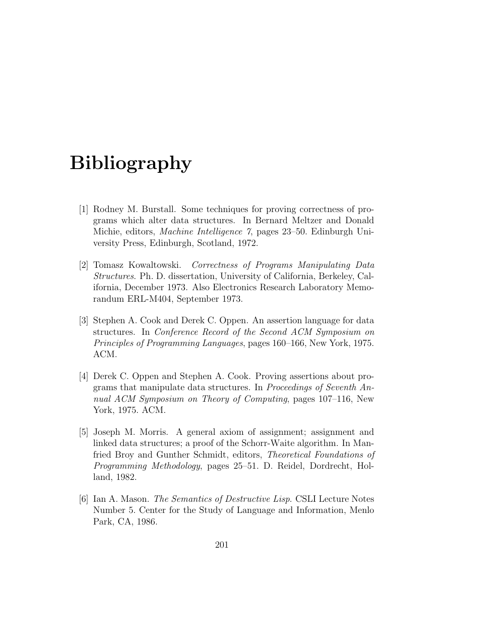## Bibliography

- [1] Rodney M. Burstall. Some techniques for proving correctness of programs which alter data structures. In Bernard Meltzer and Donald Michie, editors, Machine Intelligence 7, pages 23–50. Edinburgh University Press, Edinburgh, Scotland, 1972.
- [2] Tomasz Kowaltowski. Correctness of Programs Manipulating Data Structures. Ph. D. dissertation, University of California, Berkeley, California, December 1973. Also Electronics Research Laboratory Memorandum ERL-M404, September 1973.
- [3] Stephen A. Cook and Derek C. Oppen. An assertion language for data structures. In Conference Record of the Second ACM Symposium on Principles of Programming Languages, pages 160–166, New York, 1975. ACM.
- [4] Derek C. Oppen and Stephen A. Cook. Proving assertions about programs that manipulate data structures. In Proceedings of Seventh Annual ACM Symposium on Theory of Computing, pages 107–116, New York, 1975. ACM.
- [5] Joseph M. Morris. A general axiom of assignment; assignment and linked data structures; a proof of the Schorr-Waite algorithm. In Manfried Broy and Gunther Schmidt, editors, Theoretical Foundations of Programming Methodology, pages 25–51. D. Reidel, Dordrecht, Holland, 1982.
- [6] Ian A. Mason. The Semantics of Destructive Lisp. CSLI Lecture Notes Number 5. Center for the Study of Language and Information, Menlo Park, CA, 1986.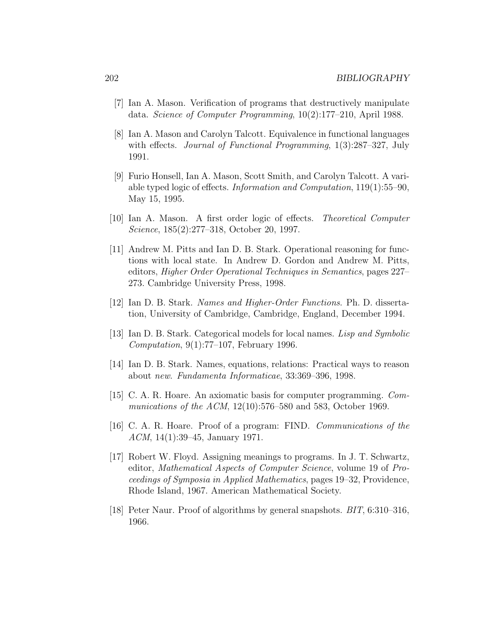- [7] Ian A. Mason. Verification of programs that destructively manipulate data. Science of Computer Programming, 10(2):177–210, April 1988.
- [8] Ian A. Mason and Carolyn Talcott. Equivalence in functional languages with effects. *Journal of Functional Programming*, 1(3):287–327, July 1991.
- [9] Furio Honsell, Ian A. Mason, Scott Smith, and Carolyn Talcott. A variable typed logic of effects. Information and Computation, 119(1):55–90, May 15, 1995.
- [10] Ian A. Mason. A first order logic of effects. Theoretical Computer Science, 185(2):277–318, October 20, 1997.
- [11] Andrew M. Pitts and Ian D. B. Stark. Operational reasoning for functions with local state. In Andrew D. Gordon and Andrew M. Pitts, editors, Higher Order Operational Techniques in Semantics, pages 227– 273. Cambridge University Press, 1998.
- [12] Ian D. B. Stark. Names and Higher-Order Functions. Ph. D. dissertation, University of Cambridge, Cambridge, England, December 1994.
- [13] Ian D. B. Stark. Categorical models for local names. Lisp and Symbolic Computation, 9(1):77–107, February 1996.
- [14] Ian D. B. Stark. Names, equations, relations: Practical ways to reason about new. Fundamenta Informaticae, 33:369–396, 1998.
- [15] C. A. R. Hoare. An axiomatic basis for computer programming. Communications of the ACM, 12(10):576–580 and 583, October 1969.
- [16] C. A. R. Hoare. Proof of a program: FIND. Communications of the ACM, 14(1):39–45, January 1971.
- [17] Robert W. Floyd. Assigning meanings to programs. In J. T. Schwartz, editor, Mathematical Aspects of Computer Science, volume 19 of Proceedings of Symposia in Applied Mathematics, pages 19–32, Providence, Rhode Island, 1967. American Mathematical Society.
- [18] Peter Naur. Proof of algorithms by general snapshots. BIT, 6:310–316, 1966.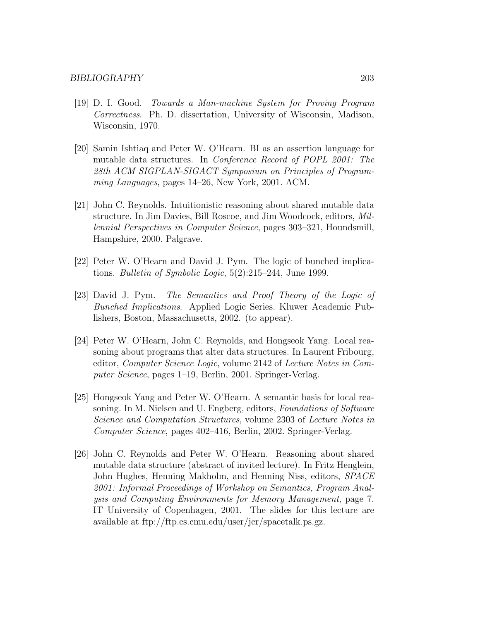- [19] D. I. Good. Towards a Man-machine System for Proving Program Correctness. Ph. D. dissertation, University of Wisconsin, Madison, Wisconsin, 1970.
- [20] Samin Ishtiaq and Peter W. O'Hearn. BI as an assertion language for mutable data structures. In Conference Record of POPL 2001: The 28th ACM SIGPLAN-SIGACT Symposium on Principles of Programming Languages, pages 14–26, New York, 2001. ACM.
- [21] John C. Reynolds. Intuitionistic reasoning about shared mutable data structure. In Jim Davies, Bill Roscoe, and Jim Woodcock, editors, Millennial Perspectives in Computer Science, pages 303–321, Houndsmill, Hampshire, 2000. Palgrave.
- [22] Peter W. O'Hearn and David J. Pym. The logic of bunched implications. Bulletin of Symbolic Logic, 5(2):215–244, June 1999.
- [23] David J. Pym. The Semantics and Proof Theory of the Logic of Bunched Implications. Applied Logic Series. Kluwer Academic Publishers, Boston, Massachusetts, 2002. (to appear).
- [24] Peter W. O'Hearn, John C. Reynolds, and Hongseok Yang. Local reasoning about programs that alter data structures. In Laurent Fribourg, editor, Computer Science Logic, volume 2142 of Lecture Notes in Computer Science, pages 1–19, Berlin, 2001. Springer-Verlag.
- [25] Hongseok Yang and Peter W. O'Hearn. A semantic basis for local reasoning. In M. Nielsen and U. Engberg, editors, Foundations of Software Science and Computation Structures, volume 2303 of Lecture Notes in Computer Science, pages 402–416, Berlin, 2002. Springer-Verlag.
- [26] John C. Reynolds and Peter W. O'Hearn. Reasoning about shared mutable data structure (abstract of invited lecture). In Fritz Henglein, John Hughes, Henning Makholm, and Henning Niss, editors, SPACE 2001: Informal Proceedings of Workshop on Semantics, Program Analysis and Computing Environments for Memory Management, page 7. IT University of Copenhagen, 2001. The slides for this lecture are available at ftp://ftp.cs.cmu.edu/user/jcr/spacetalk.ps.gz.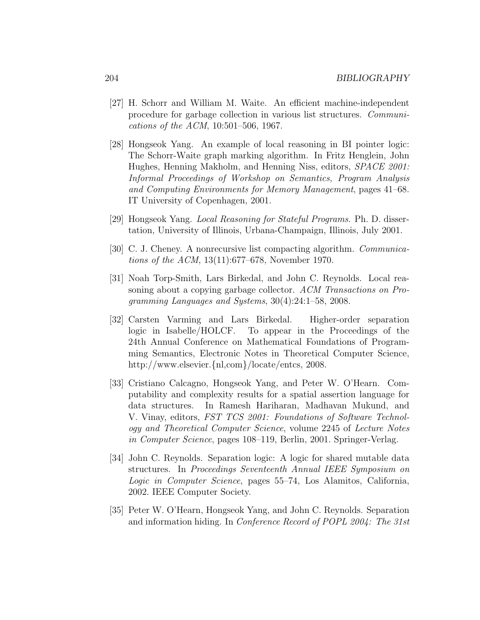- [27] H. Schorr and William M. Waite. An efficient machine-independent procedure for garbage collection in various list structures. Communications of the ACM, 10:501–506, 1967.
- [28] Hongseok Yang. An example of local reasoning in BI pointer logic: The Schorr-Waite graph marking algorithm. In Fritz Henglein, John Hughes, Henning Makholm, and Henning Niss, editors, SPACE 2001: Informal Proceedings of Workshop on Semantics, Program Analysis and Computing Environments for Memory Management, pages 41–68. IT University of Copenhagen, 2001.
- [29] Hongseok Yang. Local Reasoning for Stateful Programs. Ph. D. dissertation, University of Illinois, Urbana-Champaign, Illinois, July 2001.
- [30] C. J. Cheney. A nonrecursive list compacting algorithm. Communications of the ACM, 13(11):677–678, November 1970.
- [31] Noah Torp-Smith, Lars Birkedal, and John C. Reynolds. Local reasoning about a copying garbage collector. ACM Transactions on Programming Languages and Systems, 30(4):24:1–58, 2008.
- [32] Carsten Varming and Lars Birkedal. Higher-order separation logic in Isabelle/HOLCF. To appear in the Proceedings of the 24th Annual Conference on Mathematical Foundations of Programming Semantics, Electronic Notes in Theoretical Computer Science, http://www.elsevier.{nl,com}/locate/entcs, 2008.
- [33] Cristiano Calcagno, Hongseok Yang, and Peter W. O'Hearn. Computability and complexity results for a spatial assertion language for data structures. In Ramesh Hariharan, Madhavan Mukund, and V. Vinay, editors, FST TCS 2001: Foundations of Software Technology and Theoretical Computer Science, volume 2245 of Lecture Notes in Computer Science, pages 108–119, Berlin, 2001. Springer-Verlag.
- [34] John C. Reynolds. Separation logic: A logic for shared mutable data structures. In Proceedings Seventeenth Annual IEEE Symposium on Logic in Computer Science, pages 55–74, Los Alamitos, California, 2002. IEEE Computer Society.
- [35] Peter W. O'Hearn, Hongseok Yang, and John C. Reynolds. Separation and information hiding. In Conference Record of POPL 2004: The 31st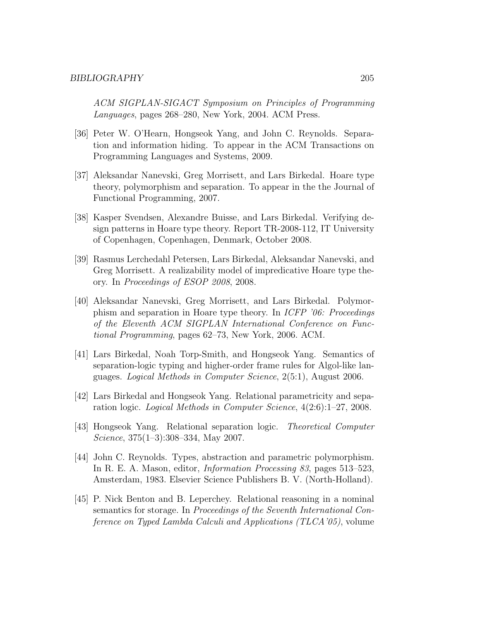ACM SIGPLAN-SIGACT Symposium on Principles of Programming Languages, pages 268–280, New York, 2004. ACM Press.

- [36] Peter W. O'Hearn, Hongseok Yang, and John C. Reynolds. Separation and information hiding. To appear in the ACM Transactions on Programming Languages and Systems, 2009.
- [37] Aleksandar Nanevski, Greg Morrisett, and Lars Birkedal. Hoare type theory, polymorphism and separation. To appear in the the Journal of Functional Programming, 2007.
- [38] Kasper Svendsen, Alexandre Buisse, and Lars Birkedal. Verifying design patterns in Hoare type theory. Report TR-2008-112, IT University of Copenhagen, Copenhagen, Denmark, October 2008.
- [39] Rasmus Lerchedahl Petersen, Lars Birkedal, Aleksandar Nanevski, and Greg Morrisett. A realizability model of impredicative Hoare type theory. In Proceedings of ESOP 2008, 2008.
- [40] Aleksandar Nanevski, Greg Morrisett, and Lars Birkedal. Polymorphism and separation in Hoare type theory. In ICFP '06: Proceedings of the Eleventh ACM SIGPLAN International Conference on Functional Programming, pages 62–73, New York, 2006. ACM.
- [41] Lars Birkedal, Noah Torp-Smith, and Hongseok Yang. Semantics of separation-logic typing and higher-order frame rules for Algol-like languages. Logical Methods in Computer Science, 2(5:1), August 2006.
- [42] Lars Birkedal and Hongseok Yang. Relational parametricity and separation logic. Logical Methods in Computer Science, 4(2:6):1–27, 2008.
- [43] Hongseok Yang. Relational separation logic. Theoretical Computer Science, 375(1–3):308–334, May 2007.
- [44] John C. Reynolds. Types, abstraction and parametric polymorphism. In R. E. A. Mason, editor, Information Processing 83, pages 513–523, Amsterdam, 1983. Elsevier Science Publishers B. V. (North-Holland).
- [45] P. Nick Benton and B. Leperchey. Relational reasoning in a nominal semantics for storage. In Proceedings of the Seventh International Conference on Typed Lambda Calculi and Applications (TLCA'05), volume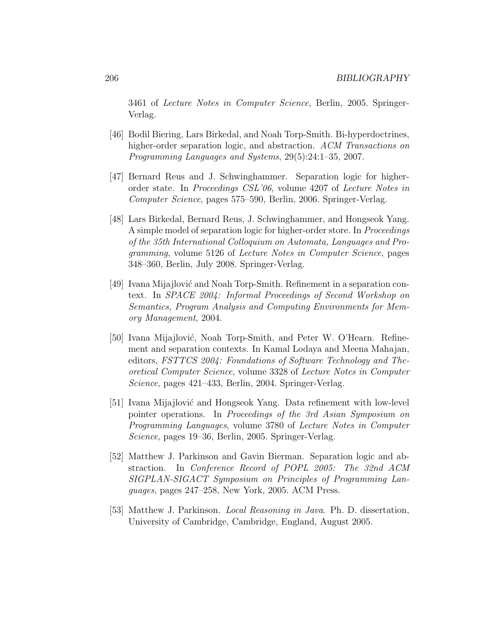3461 of Lecture Notes in Computer Science, Berlin, 2005. Springer-Verlag.

- [46] Bodil Biering, Lars Birkedal, and Noah Torp-Smith. Bi-hyperdoctrines, higher-order separation logic, and abstraction. ACM Transactions on Programming Languages and Systems, 29(5):24:1–35, 2007.
- [47] Bernard Reus and J. Schwinghammer. Separation logic for higherorder state. In Proceedings CSL'06, volume 4207 of Lecture Notes in Computer Science, pages 575–590, Berlin, 2006. Springer-Verlag.
- [48] Lars Birkedal, Bernard Reus, J. Schwinghammer, and Hongseok Yang. A simple model of separation logic for higher-order store. In Proceedings of the 35th International Colloquium on Automata, Languages and Programming, volume 5126 of Lecture Notes in Computer Science, pages 348–360, Berlin, July 2008. Springer-Verlag.
- [49] Ivana Mijajlović and Noah Torp-Smith. Refinement in a separation context. In SPACE 2004: Informal Proceedings of Second Workshop on Semantics, Program Analysis and Computing Environments for Memory Management, 2004.
- [50] Ivana Mijajlović, Noah Torp-Smith, and Peter W. O'Hearn. Refinement and separation contexts. In Kamal Lodaya and Meena Mahajan, editors, FSTTCS 2004: Foundations of Software Technology and Theoretical Computer Science, volume 3328 of Lecture Notes in Computer Science, pages 421–433, Berlin, 2004. Springer-Verlag.
- [51] Ivana Mijajlović and Hongseok Yang. Data refinement with low-level pointer operations. In Proceedings of the 3rd Asian Symposium on Programming Languages, volume 3780 of Lecture Notes in Computer Science, pages 19–36, Berlin, 2005. Springer-Verlag.
- [52] Matthew J. Parkinson and Gavin Bierman. Separation logic and abstraction. In Conference Record of POPL 2005: The 32nd ACM SIGPLAN-SIGACT Symposium on Principles of Programming Languages, pages 247–258, New York, 2005. ACM Press.
- [53] Matthew J. Parkinson. Local Reasoning in Java. Ph. D. dissertation, University of Cambridge, Cambridge, England, August 2005.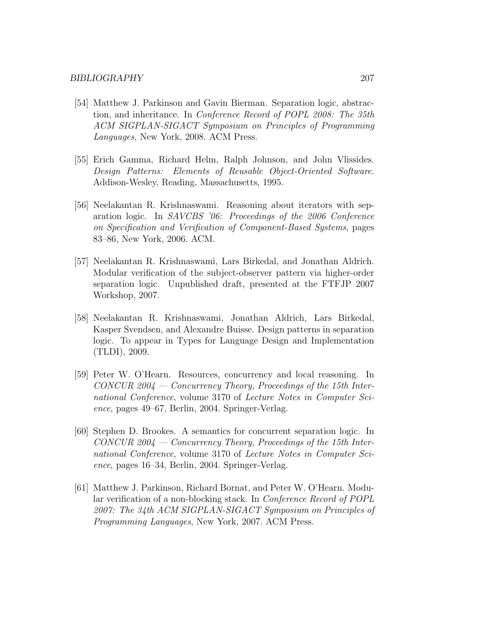- [54] Matthew J. Parkinson and Gavin Bierman. Separation logic, abstraction, and inheritance. In Conference Record of POPL 2008: The 35th ACM SIGPLAN-SIGACT Symposium on Principles of Programming Languages, New York, 2008. ACM Press.
- [55] Erich Gamma, Richard Helm, Ralph Johnson, and John Vlissides. Design Patterns: Elements of Reusable Object-Oriented Software. Addison-Wesley, Reading, Massachusetts, 1995.
- [56] Neelakantan R. Krishnaswami. Reasoning about iterators with separation logic. In SAVCBS '06: Proceedings of the 2006 Conference on Specification and Verification of Component-Based Systems, pages 83–86, New York, 2006. ACM.
- [57] Neelakantan R. Krishnaswami, Lars Birkedal, and Jonathan Aldrich. Modular verification of the subject-observer pattern via higher-order separation logic. Unpublished draft, presented at the FTFJP 2007 Workshop, 2007.
- [58] Neelakantan R. Krishnaswami, Jonathan Aldrich, Lars Birkedal, Kasper Svendsen, and Alexandre Buisse. Design patterns in separation logic. To appear in Types for Language Design and Implementation (TLDI), 2009.
- [59] Peter W. O'Hearn. Resources, concurrency and local reasoning. In  $CONCUR~2004 - Concurrency Theory, Proceedings of the 15th Inter$ national Conference, volume 3170 of Lecture Notes in Computer Science, pages 49–67, Berlin, 2004. Springer-Verlag.
- [60] Stephen D. Brookes. A semantics for concurrent separation logic. In  $CONCUR~2004 - Concurrency Theory, Proceedings of the 15th Inter$ national Conference, volume 3170 of Lecture Notes in Computer Science, pages 16–34, Berlin, 2004. Springer-Verlag.
- [61] Matthew J. Parkinson, Richard Bornat, and Peter W. O'Hearn. Modular verification of a non-blocking stack. In Conference Record of POPL 2007: The 34th ACM SIGPLAN-SIGACT Symposium on Principles of Programming Languages, New York, 2007. ACM Press.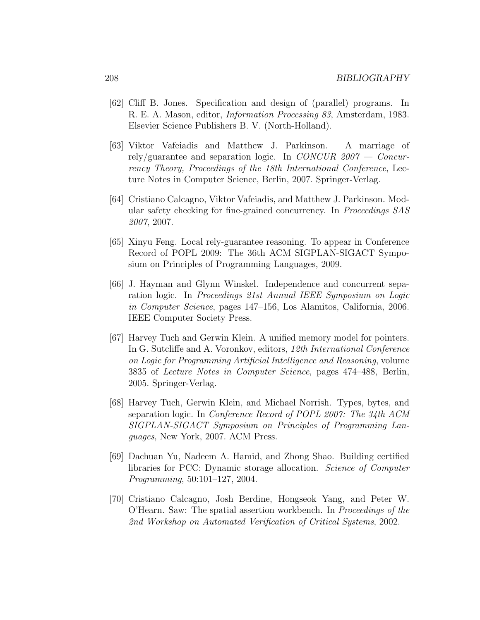- [62] Cliff B. Jones. Specification and design of (parallel) programs. In R. E. A. Mason, editor, Information Processing 83, Amsterdam, 1983. Elsevier Science Publishers B. V. (North-Holland).
- [63] Viktor Vafeiadis and Matthew J. Parkinson. A marriage of rely/guarantee and separation logic. In CONCUR  $2007 - Concur$ rency Theory, Proceedings of the 18th International Conference, Lecture Notes in Computer Science, Berlin, 2007. Springer-Verlag.
- [64] Cristiano Calcagno, Viktor Vafeiadis, and Matthew J. Parkinson. Modular safety checking for fine-grained concurrency. In Proceedings SAS 2007, 2007.
- [65] Xinyu Feng. Local rely-guarantee reasoning. To appear in Conference Record of POPL 2009: The 36th ACM SIGPLAN-SIGACT Symposium on Principles of Programming Languages, 2009.
- [66] J. Hayman and Glynn Winskel. Independence and concurrent separation logic. In Proceedings 21st Annual IEEE Symposium on Logic in Computer Science, pages 147–156, Los Alamitos, California, 2006. IEEE Computer Society Press.
- [67] Harvey Tuch and Gerwin Klein. A unified memory model for pointers. In G. Sutcliffe and A. Voronkov, editors, 12th International Conference on Logic for Programming Artificial Intelligence and Reasoning, volume 3835 of Lecture Notes in Computer Science, pages 474–488, Berlin, 2005. Springer-Verlag.
- [68] Harvey Tuch, Gerwin Klein, and Michael Norrish. Types, bytes, and separation logic. In Conference Record of POPL 2007: The 34th ACM SIGPLAN-SIGACT Symposium on Principles of Programming Languages, New York, 2007. ACM Press.
- [69] Dachuan Yu, Nadeem A. Hamid, and Zhong Shao. Building certified libraries for PCC: Dynamic storage allocation. Science of Computer Programming, 50:101–127, 2004.
- [70] Cristiano Calcagno, Josh Berdine, Hongseok Yang, and Peter W. O'Hearn. Saw: The spatial assertion workbench. In Proceedings of the 2nd Workshop on Automated Verification of Critical Systems, 2002.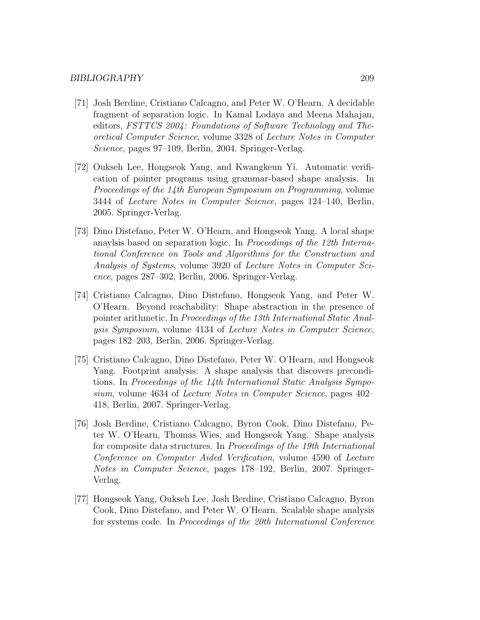- [71] Josh Berdine, Cristiano Calcagno, and Peter W. O'Hearn. A decidable fragment of separation logic. In Kamal Lodaya and Meena Mahajan, editors, FSTTCS 2004: Foundations of Software Technology and Theoretical Computer Science, volume 3328 of Lecture Notes in Computer Science, pages 97–109, Berlin, 2004. Springer-Verlag.
- [72] Oukseh Lee, Hongseok Yang, and Kwangkeun Yi. Automatic verification of pointer programs using grammar-based shape analysis. In Proceedings of the 14th European Symposium on Programming, volume 3444 of Lecture Notes in Computer Science, pages 124–140, Berlin, 2005. Springer-Verlag.
- [73] Dino Distefano, Peter W. O'Hearn, and Hongseok Yang. A local shape anaylsis based on separation logic. In Proceedings of the 12th International Conference on Tools and Algorithms for the Construction and Analysis of Systems, volume 3920 of Lecture Notes in Computer Science, pages 287–302, Berlin, 2006. Springer-Verlag.
- [74] Cristiano Calcagno, Dino Distefano, Hongseok Yang, and Peter W. O'Hearn. Beyond reachability: Shape abstraction in the presence of pointer arithmetic. In Proceedings of the 13th International Static Analysis Symposium, volume 4134 of Lecture Notes in Computer Science, pages 182–203, Berlin, 2006. Springer-Verlag.
- [75] Cristiano Calcagno, Dino Distefano, Peter W. O'Hearn, and Hongseok Yang. Footprint analysis: A shape analysis that discovers preconditions. In Proceedings of the 14th International Static Analysis Symposium, volume 4634 of Lecture Notes in Computer Science, pages 402– 418, Berlin, 2007. Springer-Verlag.
- [76] Josh Berdine, Cristiano Calcagno, Byron Cook, Dino Distefano, Peter W. O'Hearn, Thomas Wies, and Hongseok Yang. Shape analysis for composite data structures. In Proceedings of the 19th International Conference on Computer Aided Verification, volume 4590 of Lecture Notes in Computer Science, pages 178–192, Berlin, 2007. Springer-Verlag.
- [77] Hongseok Yang, Oukseh Lee, Josh Berdine, Cristiano Calcagno, Byron Cook, Dino Distefano, and Peter W. O'Hearn. Scalable shape analysis for systems code. In Proceedings of the 20th International Conference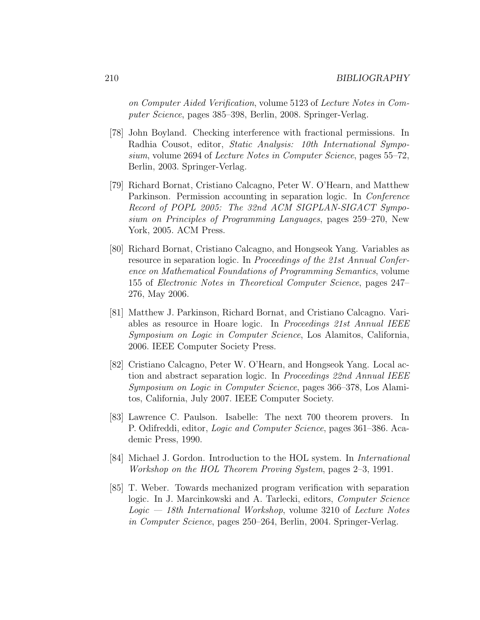on Computer Aided Verification, volume 5123 of Lecture Notes in Computer Science, pages 385–398, Berlin, 2008. Springer-Verlag.

- [78] John Boyland. Checking interference with fractional permissions. In Radhia Cousot, editor, Static Analysis: 10th International Symposium, volume 2694 of Lecture Notes in Computer Science, pages 55–72, Berlin, 2003. Springer-Verlag.
- [79] Richard Bornat, Cristiano Calcagno, Peter W. O'Hearn, and Matthew Parkinson. Permission accounting in separation logic. In Conference Record of POPL 2005: The 32nd ACM SIGPLAN-SIGACT Symposium on Principles of Programming Languages, pages 259–270, New York, 2005. ACM Press.
- [80] Richard Bornat, Cristiano Calcagno, and Hongseok Yang. Variables as resource in separation logic. In Proceedings of the 21st Annual Conference on Mathematical Foundations of Programming Semantics, volume 155 of Electronic Notes in Theoretical Computer Science, pages 247– 276, May 2006.
- [81] Matthew J. Parkinson, Richard Bornat, and Cristiano Calcagno. Variables as resource in Hoare logic. In Proceedings 21st Annual IEEE Symposium on Logic in Computer Science, Los Alamitos, California, 2006. IEEE Computer Society Press.
- [82] Cristiano Calcagno, Peter W. O'Hearn, and Hongseok Yang. Local action and abstract separation logic. In Proceedings 22nd Annual IEEE Symposium on Logic in Computer Science, pages 366–378, Los Alamitos, California, July 2007. IEEE Computer Society.
- [83] Lawrence C. Paulson. Isabelle: The next 700 theorem provers. In P. Odifreddi, editor, Logic and Computer Science, pages 361–386. Academic Press, 1990.
- [84] Michael J. Gordon. Introduction to the HOL system. In International Workshop on the HOL Theorem Proving System, pages 2–3, 1991.
- [85] T. Weber. Towards mechanized program verification with separation logic. In J. Marcinkowski and A. Tarlecki, editors, *Computer Science*  $Logic - 18th International Workshop$ , volume 3210 of Lecture Notes in Computer Science, pages 250–264, Berlin, 2004. Springer-Verlag.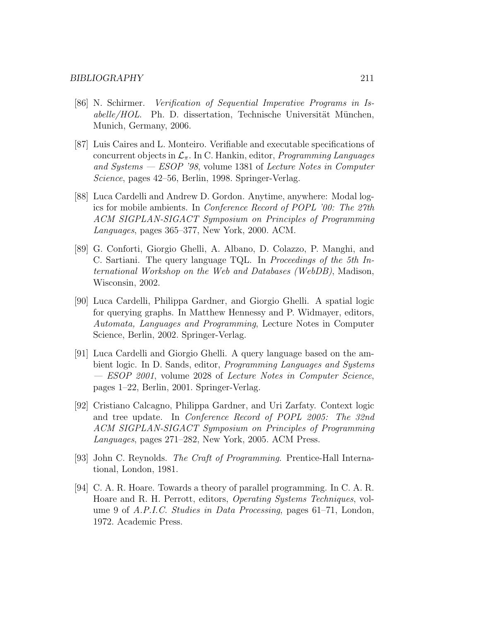- [86] N. Schirmer. Verification of Sequential Imperative Programs in Is $a$ belle/HOL. Ph. D. dissertation, Technische Universität München, Munich, Germany, 2006.
- [87] Luis Caires and L. Monteiro. Verifiable and executable specifications of concurrent objects in  $\mathcal{L}_{\pi}$ . In C. Hankin, editor, *Programming Languages* and Systems — ESOP '98, volume 1381 of Lecture Notes in Computer Science, pages 42–56, Berlin, 1998. Springer-Verlag.
- [88] Luca Cardelli and Andrew D. Gordon. Anytime, anywhere: Modal logics for mobile ambients. In Conference Record of POPL '00: The 27th ACM SIGPLAN-SIGACT Symposium on Principles of Programming Languages, pages 365–377, New York, 2000. ACM.
- [89] G. Conforti, Giorgio Ghelli, A. Albano, D. Colazzo, P. Manghi, and C. Sartiani. The query language TQL. In Proceedings of the 5th International Workshop on the Web and Databases (WebDB), Madison, Wisconsin, 2002.
- [90] Luca Cardelli, Philippa Gardner, and Giorgio Ghelli. A spatial logic for querying graphs. In Matthew Hennessy and P. Widmayer, editors, Automata, Languages and Programming, Lecture Notes in Computer Science, Berlin, 2002. Springer-Verlag.
- [91] Luca Cardelli and Giorgio Ghelli. A query language based on the ambient logic. In D. Sands, editor, Programming Languages and Systems — ESOP 2001, volume 2028 of Lecture Notes in Computer Science, pages 1–22, Berlin, 2001. Springer-Verlag.
- [92] Cristiano Calcagno, Philippa Gardner, and Uri Zarfaty. Context logic and tree update. In Conference Record of POPL 2005: The 32nd ACM SIGPLAN-SIGACT Symposium on Principles of Programming Languages, pages 271–282, New York, 2005. ACM Press.
- [93] John C. Reynolds. The Craft of Programming. Prentice-Hall International, London, 1981.
- [94] C. A. R. Hoare. Towards a theory of parallel programming. In C. A. R. Hoare and R. H. Perrott, editors, Operating Systems Techniques, volume 9 of A.P.I.C. Studies in Data Processing, pages 61–71, London, 1972. Academic Press.